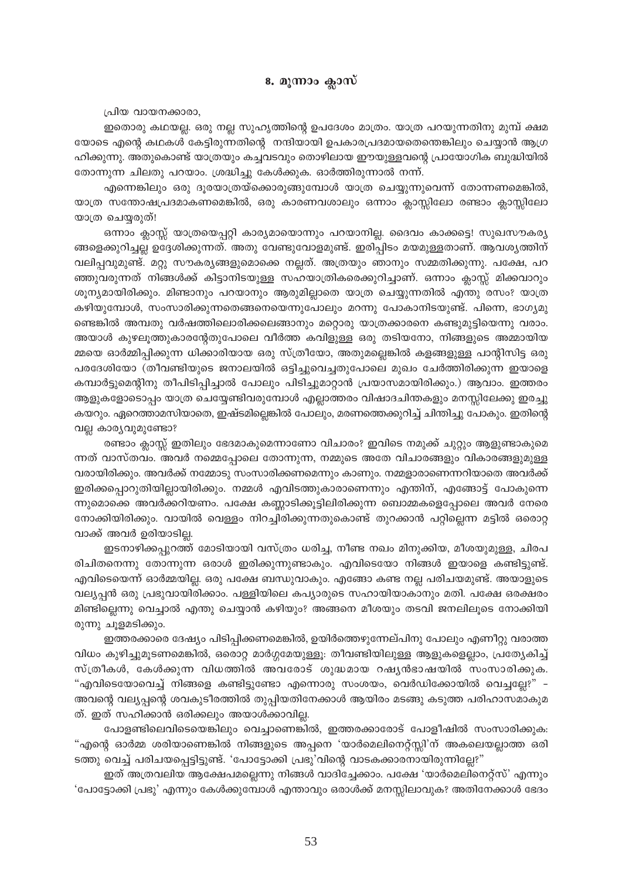പ്രിയ വായനക്കാരാ.

ഇതൊരു കഥയല്ല. ഒരു നല്ല സുഹൃത്തിന്റെ ഉപദേശം മാത്രം. യാത്ര പറയുന്നതിനു മുമ്പ് ക്ഷമ യോടെ എന്റെ കഥകൾ കേട്ടിരുന്നതിന്റെ നന്ദിയായി ഉപകാരപ്രദമായതെന്തെങ്കിലും ചെയ്യാൻ ആഗ്ര ഹിക്കുന്നു. അതുകൊണ്ട് യാത്രയും കച്ചവടവും തൊഴിലായ ഈയുള്ളവന്റെ പ്രായോഗിക ബുദ്ധിയിൽ തോന്നുന്ന ചിലതു പറയാം. ശ്രദ്ധിച്ചു കേൾക്കുക. ഓർത്തിരുന്നാൽ നന്ന്.

എന്നെങ്കിലും ഒരു ദൂരയാത്രയ്ക്കൊരുങ്ങുമ്പോൾ യാത്ര ചെയ്യുന്നുവെന്ന് തോന്നണമെങ്കിൽ, യാത്ര സന്തോഷപ്രദമാകണമെങ്കിൽ, ഒരു കാരണവശാലും ഒന്നാം ക്ലാസ്സിലോ രണ്ടാം ക്ലാസ്സിലോ യാത്ര ചെയ്യരുത്!

ഒന്നാം ക്ലാസ്സ് യാത്രയെപ്പറ്റി കാര്യമായൊന്നും പറയാനില്ല. ദൈവം കാക്കട്ടെ! സുഖസൗകര്യ ങ്ങളെക്കുറിച്ചല്ല ഉദ്ദേശിക്കുന്നത്. അതു വേണ്ടുവോളമുണ്ട്. ഇരിപ്പിടം മയമുള്ളതാണ്. ആവശൃത്തിന് വലിപ്പവുമുണ്ട്. മറ്റു സൗകര്യങ്ങളുമൊക്കെ നല്ലത്. അത്രയും ഞാനും സമ്മതിക്കുന്നു. പക്ഷേ, പറ ഞ്ഞുവരുന്നത് നിങ്ങൾക്ക് കിട്ടാനിടയുള്ള സഹയാത്രികരെക്കുറിച്ചാണ്. ഒന്നാം ക്ലാസ്സ് മിക്കവാറും ശൂന്യമായിരിക്കും. മിണ്ടാനും പറയാനും ആരുമില്ലാതെ യാത്ര ചെയ്യുന്നതിൽ എന്തു രസം? യാത്ര കഴിയുമ്പോൾ, സംസാരിക്കുന്നതെങ്ങനെയെന്നുപോലും മറന്നു പോകാനിടയുണ്ട്. പിന്നെ, ഭാഗ്യമു ണ്ടെങ്കിൽ അമ്പതു വർഷത്തിലൊരിക്കലെങ്ങാനും മറ്റൊരു യാത്രക്കാരനെ കണ്ടുമുട്ടിയെന്നു വരാം. അയാൾ കുഴലൂത്തുകാരന്റേതുപോലെ വീർത്ത കവിളുള്ള ഒരു തടിയനോ, നിങ്ങളുടെ അമ്മായിയ മ്മയെ ഓർമ്മിപ്പിക്കുന്ന ധിക്കാരിയായ ഒരു സ്ത്രീയോ, അതുമല്ലെങ്കിൽ കളങ്ങളുള്ള പാന്റിസിട്ട ഒരു പരദേശിയോ (തീവണ്ടിയുടെ ജനാലയിൽ ഒട്ടിച്ചുവെച്ചതുപോലെ മുഖം ചേർത്തിരിക്കുന്ന ഇയാളെ കമ്പാർട്ടുമെന്റിനു തീപിടിപ്പിച്ചാൽ പോലും പിടിച്ചുമാറ്റാൻ പ്രയാസമായിരിക്കും.) ആവാം. ഇത്തരം ആളുകളോടൊപ്പം യാത്ര ചെയ്യേണ്ടിവരുമ്പോൾ എല്ലാത്തരം വിഷാദചിന്തകളും മനസ്സിലേക്കു ഇരച്ചു കയറും. ഏറെത്താമസിയാതെ, ഇഷ്ടമില്ലെങ്കിൽ പോലും, മരണത്തെക്കുറിച്ച് ചിന്തിച്ചു പോകും. ഇതിന്റെ വല്ല കാര്യവുമുണ്ടോ?

രണ്ടാം ക്ലാസ്സ് ഇതിലും ഭേദമാകുമെന്നാണോ വിചാരം? ഇവിടെ നമുക്ക് ചുറ്റും ആളുണ്ടാകുമെ ന്നത് വാസ്തവം. അവർ നമ്മെപ്പോലെ തോന്നുന്ന, നമ്മുടെ അതേ വിചാരങ്ങളും വികാരങ്ങളുമുള്ള വരായിരിക്കും. അവർക്ക് നമ്മോടു സംസാരിക്കണമെന്നും കാണും. നമ്മളാരാണെന്നറിയാതെ അവർക്ക് ഇരിക്കപ്പൊറുതിയില്ലായിരിക്കും. നമ്മൾ എവിടത്തുകാരാണെന്നും എന്തിന്, എങ്ങോട്ട് പോകുന്നെ ന്നുമൊക്കെ അവർക്കറിയണം. പക്ഷേ കണ്ണാടിക്കൂട്ടിലിരിക്കുന്ന ബൊമ്മകളെപ്പോലെ അവർ നേരെ നോക്കിയിരിക്കും. വായിൽ വെള്ളം നിറച്ചിരിക്കുന്നതുകൊണ്ട് തുറക്കാൻ പറ്റില്ലെന്ന മട്ടിൽ ഒരൊറ്റ വാക്ക് അവർ ഉരിയാടില്ല.

ഇടനാഴിക്കപ്പുറത്ത് മോടിയായി വസ്ത്രം ധരിച്ച, നീണ്ട നഖം മിനുക്കിയ, മീശയുമുള്ള, ചിരപ രിചിതനെന്നു തോന്നുന്ന ഒരാൾ ഇരിക്കുന്നുണ്ടാകും. എവിടെയോ നിങ്ങൾ ഇയാളെ കണ്ടിട്ടുണ്ട്. എവിടെയെന്ന് ഓർമ്മയില്ല. ഒരു പക്ഷേ ബന്ധുവാകും. എങ്ങോ കണ്ട നല്ല പരിചയമുണ്ട്. അയാളുടെ വല്യപ്പൻ ഒരു പ്രഭുവായിരിക്കാം. പള്ളിയിലെ കപ്യാരുടെ സഹായിയാകാനും മതി. പക്ഷേ ഒരക്ഷരം മിണ്ടില്ലെന്നു വെച്ചാൽ എന്തു ചെയ്യാൻ കഴിയും? അങ്ങനെ മീശയും തടവി ജനലിലൂടെ നോക്കിയി രുന്നു ചൂളമടിക്കും.

ഇത്തരക്കാരെ ദേഷ്യം പിടിപ്പിക്കണമെങ്കിൽ, ഉയിർത്തെഴുന്നേല്പിനു പോലും എണീറ്റു വരാത്ത വിധം കുഴിച്ചുമൂടണമെങ്കിൽ, ഒരൊറ്റ മാർഗ്ഗമേയുള്ളൂ: തീവണ്ടിയിലുള്ള ആളുകളെല്ലാം, പ്രത്യേകിച്ച് സ്ത്രീകൾ, കേൾക്കുന്ന വിധത്തിൽ അവരോട് ശുദ്ധമായ റഷ്യൻഭാഷയിൽ സംസാരിക്കുക. "എവിടെയോവെച്ച് നിങ്ങളെ കണ്ടിട്ടുണ്ടോ എന്നൊരു സംശയം, വെർഡിക്കോയിൽ വെച്ചല്ലേ?" – അവന്റെ വല്യപ്പന്റെ ശവകുടീരത്തിൽ തുപ്പിയതിനേക്കാൾ ആയിരം മടങ്ങു കടുത്ത പരിഹാസമാകുമ ത്. ഇത് സഹിക്കാൻ ഒരിക്കലും അയാൾക്കാവില്ല.

പോളണ്ടിലെവിടെയെങ്കിലും വെച്ചാണെങ്കിൽ, ഇത്തരക്കാരോട് പോളീഷിൽ സംസാരിക്കുക: "എന്റെ ഓർമ്മ ശരിയാണെങ്കിൽ നിങ്ങളുടെ അപ്പനെ 'യാർമെലിനെറ്റ്സ്സി'ന് അകലെയല്ലാത്ത ഒരി ടത്തു വെച്ച് പരിചയപ്പെട്ടിട്ടുണ്ട്. 'പോട്ടോക്കി പ്രഭു'വിന്റെ വാടകക്കാരനായിരുന്നില്ലേ?"

ഇത് അത്രവലിയ ആക്ഷേപമല്ലെന്നു നിങ്ങൾ വാദിച്ചേക്കാം. പക്ഷേ 'യാർമെലിനെറ്റ്സ്' എന്നും 'പോട്ടോക്കി പ്രഭു' എന്നും കേൾക്കുമ്പോൾ എന്താവും ഒരാൾക്ക് മനസ്സിലാവുക? അതിനേക്കാൾ ഭേദം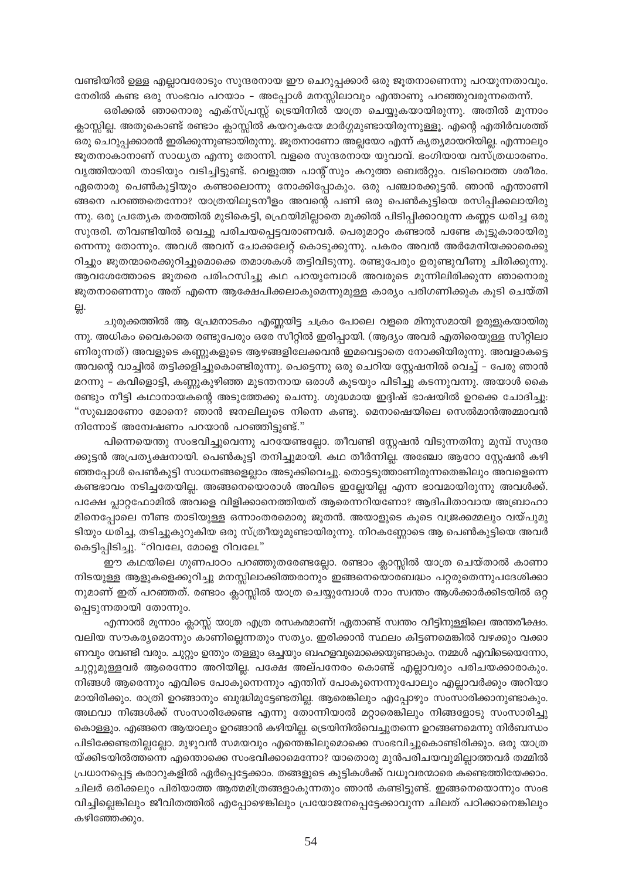വണ്ടിയിൽ ഉള്ള എല്ലാവരോടും സുന്ദരനായ ഈ ചെറുപ്പക്കാർ ഒരു ജൂതനാണെന്നു പറയുന്നതാവും. നേരിൽ കണ്ട ഒരു സംഭവം പറയാം – അപ്പോൾ മനസ്സിലാവും എന്താണു പറഞ്ഞുവരുന്നതെന്ന്.

ഒരിക്കൽ ഞാനൊരു എക്സ്പ്രസ്സ് ട്രെയിനിൽ യാത്ര ചെയ്യുകയായിരുന്നു. അതിൽ മൂന്നാം ക്ലാസ്സില്ല. അതുകൊണ്ട് രണ്ടാം ക്ലാസ്സിൽ കയറുകയേ മാർഗ്ഗമുണ്ടായിരുന്നുള്ളൂ. എന്റെ എതിർവശത്ത് ഒരു ചെറുപ്പക്കാരൻ ഇരിക്കുന്നുണ്ടായിരുന്നു. ജൂതനാണോ അല്ലയോ എന്ന് കൃത്യമായറിയില്ല. എന്നാലും ജൂതനാകാനാണ് സാധ്യത എന്നു തോന്നി. വളരെ സുന്ദരനായ യുവാവ്. ഭംഗിയായ വസ്ത്രധാരണം. വൃത്തിയായി താടിയും വടിച്ചിട്ടുണ്ട്. വെളുത്ത പാന്റ്സും കറുത്ത ബെൽറ്റും. വടിവൊത്ത ശരീരം. ഏതൊരു പെൺകുട്ടിയും കണ്ടാലൊന്നു നോക്കിപ്പോകും. ഒരു പഞ്ചാരക്കുട്ടൻ. ഞാൻ എന്താണി ങ്ങനെ പറഞ്ഞതെന്നോ? യാത്രയിലുടനീളം അവന്റെ പണി ഒരു പെൺകുട്ടിയെ രസിപ്പിക്കലായിരു ന്നു. ഒരു പ്രത്യേക തരത്തിൽ മുടികെട്ടി, ഫ്രെയിമില്ലാതെ മൂക്കിൽ പിടിപ്പിക്കാവുന്ന കണ്ണട ധരിച്ച ഒരു സുന്ദരി. തീവണ്ടിയിൽ വെച്ചു പരിചയപ്പെട്ടവരാണവർ. പെരുമാറ്റം കണ്ടാൽ പണ്ടേ കൂട്ടുകാരായിരു ന്നെന്നു തോന്നും. അവൾ അവന് ചോക്കലേറ്റ് കൊടുക്കുന്നു. പകരം അവൻ അർമേനിയക്കാരെക്കു റിച്ചും ജൂതന്മാരെക്കുറിച്ചുമൊക്കെ തമാശകൾ തട്ടിവിടുന്നു. രണ്ടുപേരും ഉരുണ്ടുവീണു ചിരിക്കുന്നു. ആവശേത്തോടെ ജൂതരെ പരിഹസിച്ചു കഥ പറയുമ്പോൾ അവരുടെ മുന്നിലിരിക്കുന്ന ഞാനൊരു ജൂതനാണെന്നും അത് എന്നെ ആക്ഷേപിക്കലാകുമെന്നുമുള്ള കാര്യം പരിഗണിക്കുക കൂടി ചെയ്തി 딣.

ചുരുക്കത്തിൽ ആ പ്രേമനാടകം എണ്ണയിട്ട ചക്രം പോലെ വളരെ മിനുസമായി ഉരുളുകയായിരു ന്നു. അധികം വൈകാതെ രണ്ടുപേരും ഒരേ സീറ്റിൽ ഇരിപ്പായി. (ആദ്യം അവർ എതിരെയുള്ള സീറ്റിലാ ണിരുന്നത്) അവളുടെ കണ്ണുകളുടെ ആഴങ്ങളിലേക്കവൻ ഇമവെട്ടാതെ നോക്കിയിരുന്നു. അവളാകട്ടെ അവന്റെ വാച്ചിൽ തട്ടിക്കളിച്ചുകൊണ്ടിരുന്നു. പെട്ടെന്നു ഒരു ചെറിയ സ്റ്റേഷനിൽ വെച്ച് – പേരു ഞാൻ മറന്നു – കവിളൊട്ടി, കണ്ണുകുഴിഞ്ഞ മുടന്തനായ ഒരാൾ കുടയും പിടിച്ചു കടന്നുവന്നു. അയാൾ കൈ രണ്ടും നീട്ടി കഥാനായകന്റെ അടുത്തേക്കു ചെന്നു. ശുദ്ധമായ ഇദ്ദിഷ് ഭാഷയിൽ ഉറക്കെ ചോദിച്ചു: "സുഖമാണോ മോനെ? ഞാൻ ജനലിലൂടെ നിന്നെ കണ്ടു. മെനാഷെയിലെ സെൽമാൻഅമ്മാവൻ നിന്നോട് അന്വേഷണം പറയാൻ പറഞ്ഞിട്ടുണ്ട്."

പിന്നെയെന്തു സംഭവിച്ചുവെന്നു പറയേണ്ടല്ലോ. തീവണ്ടി സ്റ്റേഷൻ വിടുന്നതിനു മുമ്പ് സുന്ദര ക്കുട്ടൻ അപ്രത്യക്ഷനായി. പെൺകുട്ടി തനിച്ചുമായി. കഥ തീർന്നില്ല. അഞ്ചോ ആറോ സ്റ്റേഷൻ കഴി ഞ്ഞപ്പോൾ പെൺകുട്ടി സാധനങ്ങളെല്ലാം അടുക്കിവെച്ചു. തൊട്ടടുത്താണിരുന്നതെങ്കിലും അവളെന്നെ കണ്ടഭാവം നടിച്ചതേയില്ല. അങ്ങനെയൊരാൾ അവിടെ ഇല്ലേയില്ല എന്ന ഭാവമായിരുന്നു അവൾക്ക്. പക്ഷേ പ്ലാറ്റഫോമിൽ അവളെ വിളിക്കാനെത്തിയത് ആരെന്നറിയണോ? ആദിപിതാവായ അബ്രാഹാ മിനെപ്പോലെ നീണ്ട താടിയുള്ള ഒന്നാംതരമൊരു ജൂതൻ. അയാളുടെ കൂടെ വജ്രക്കമ്മലും വയ്പുമു ടിയും ധരിച്ച, തടിച്ചുകുറുകിയ ഒരു സ്ത്രീയുമുണ്ടായിരുന്നു. നിറകണ്ണോടെ ആ പെൺകുട്ടിയെ അവർ കെട്ടിപ്പിടിച്ചു. "റിവലേ, മോളെ റിവലേ."

ഈ കഥയിലെ ഗുണപാഠം പറഞ്ഞുതരേണ്ടല്ലോ. രണ്ടാം ക്ലാസ്സിൽ യാത്ര ചെയ്താൽ കാണാ നിടയുള്ള ആളുകളെക്കുറിച്ചു മനസ്സിലാക്കിത്തരാനും ഇങ്ങനെയൊരബദ്ധം പറ്റരുതെന്നുപദേശിക്കാ നുമാണ് ഇത് പറഞ്ഞത്. രണ്ടാം ക്ലാസ്സിൽ യാത്ര ചെയ്യുമ്പോൾ നാം സ്വന്തം ആൾക്കാർക്കിടയിൽ ഒറ്റ പ്പെടുന്നതായി തോന്നും.

എന്നാൽ മൂന്നാം ക്ലാസ്സ് യാത്ര എത്ര രസകരമാണ്! ഏതാണ്ട് സ്ഥതം വീട്ടിനുള്ളിലെ അന്തരീക്ഷം. വലിയ സൗകര്യമൊന്നും കാണില്ലെന്നതും സത്യം. ഇരിക്കാൻ സ്ഥലം കിട്ടണമെങ്കിൽ വഴക്കും വക്കാ ണവും വേണ്ടി വരും. ചുറ്റും ഉന്തും തള്ളും ഒച്ചയും ബഹളവുമൊക്കെയുണ്ടാകും. നമ്മൾ എവിടെയെന്നോ, ചുറ്റുമുള്ളവർ ആരെന്നോ അറിയില്ല. പക്ഷേ അല്പനേരം കൊണ്ട് എല്ലാവരും പരിചയക്കാരാകും. നിങ്ങൾ ആരെന്നും എവിടെ പോകുന്നെന്നും എന്തിന് പോകുന്നെന്നുപോലും എല്ലാവർക്കും അറിയാ മായിരിക്കും. രാത്രി ഉറങ്ങാനും ബുദ്ധിമുട്ടേണ്ടതില്ല. ആരെങ്കിലും എപ്പോഴും സംസാരിക്കാനുണ്ടാകും. അഥവാ നിങ്ങൾക്ക് സംസാരിക്കേണ്ട എന്നു തോന്നിയാൽ മറ്റാരെങ്കിലും നിങ്ങളോടു സംസാരിച്ചു കൊള്ളും. എങ്ങനെ ആയാലും ഉറങ്ങാൻ കഴിയില്ല. ട്രെയിനിൽവെച്ചുതന്നെ ഉറങ്ങണമെന്നു നിർബന്ധം പിടിക്കേണ്ടതില്ലല്ലോ. മുഴുവൻ സമയവും എന്തെങ്കിലുമൊക്കെ സംഭവിച്ചുകൊണ്ടിരിക്കും. ഒരു യാത്ര യ്ക്കിടയിൽത്തന്നെ എന്തൊക്കെ സംഭവിക്കാമെന്നോ? യാതൊരു മുൻപരിചയവുമില്ലാത്തവർ തമ്മിൽ പ്രധാനപ്പെട്ട കരാറുകളിൽ ഏർപ്പെട്ടേക്കാം. തങ്ങളുടെ കുട്ടികൾക്ക് വധൂവരന്മാരെ കണ്ടെത്തിയേക്കാം. ചിലർ ഒരിക്കലും പിരിയാത്ത ആത്മമിത്രങ്ങളാകുന്നതും ഞാൻ കണ്ടിട്ടുണ്ട്. ഇങ്ങനെയൊന്നും സംഭ വിച്ചില്ലെങ്കിലും ജീവിതത്തിൽ എപ്പോഴെങ്കിലും പ്രയോജനപ്പെട്ടേക്കാവുന്ന ചിലത് പഠിക്കാനെങ്കിലും കഴിഞ്ഞേക്കും.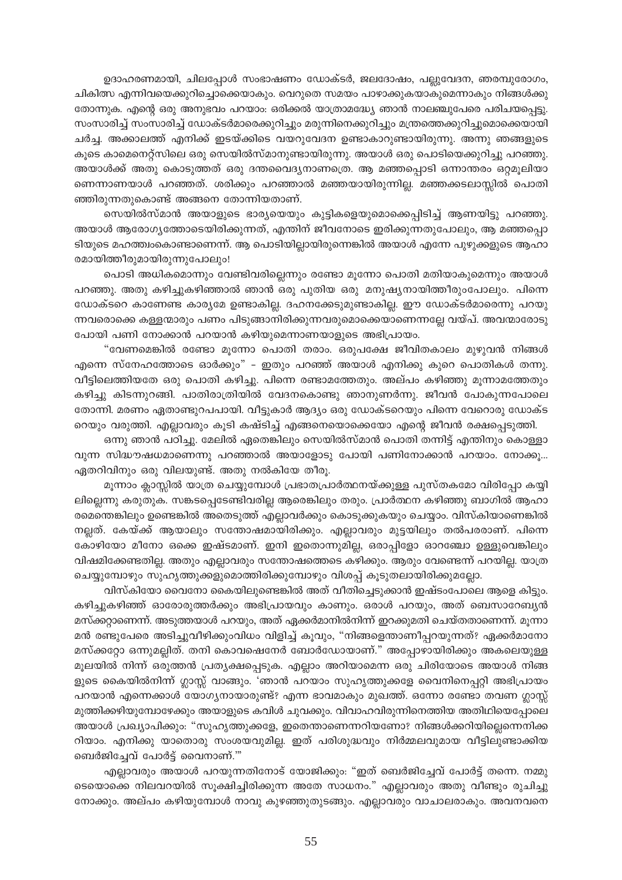ഉദാഹരണമായി, ചിലപ്പോൾ സംഭാഷണം ഡോക്ടർ, ജലദോഷം, പല്ലുവേദന, ഞരമ്പുരോഗം, ചികിത്സ എന്നിവയെക്കുറിച്ചൊക്കെയാകും. വെറുതെ സമയം പാഴാക്കുകയാകുമെന്നാകും നിങ്ങൾക്കു തോന്നുക. എന്റെ ഒരു അനുഭവം പറയാം: ഒരിക്കൽ യാത്രാമദ്ധ്യേ ഞാൻ നാലഞ്ചുപേരെ പരിചയപ്പെട്ടു. സംസാരിച്ച് സംസാരിച്ച് ഡോക്ടർമാരെക്കുറിച്ചും മരുന്നിനെക്കുറിച്ചും മന്ത്രത്തെക്കുറിച്ചുമൊക്കെയായി ചർച്ച. അക്കാലത്ത് എനിക്ക് ഇടയ്ക്കിടെ വയറുവേദന ഉണ്ടാകാറുണ്ടായിരുന്നു. അന്നു ഞങ്ങളുടെ കൂടെ കാമെനെറ്റ്സിലെ ഒരു സെയിൽസ്മാനുണ്ടായിരുന്നു. അയാൾ ഒരു പൊടിയെക്കുറിച്ചു പറഞ്ഞു. അയാൾക്ക് അതു കൊടുത്തത് ഒരു ദന്തവൈദ്യനാണത്രെ. ആ മഞ്ഞപ്പൊടി ഒന്നാന്തരം ഒറ്റമൂലിയാ ണെന്നാണയാൾ പറഞ്ഞത്. ശരിക്കും പറഞ്ഞാൽ മഞ്ഞയായിരുന്നില്ല. മഞ്ഞക്കടലാസ്സിൽ പൊതി ഞ്ഞിരുന്നതുകൊണ്ട് അങ്ങനെ തോന്നിയതാണ്.

സെയിൽസ്മാൻ അയാളുടെ ഭാര്യയെയും കുട്ടികളെയുമൊക്കെപ്പിടിച്ച് ആണയിട്ടു പറഞ്ഞു. അയാൾ ആരോഗൃത്തോടെയിരിക്കുന്നത്, എന്തിന് ജീവനോടെ ഇരിക്കുന്നതുപോലും, ആ മഞ്ഞപ്പൊ ടിയുടെ മഹത്ത്വംകൊണ്ടാണെന്ന്. ആ പൊടിയില്ലായിരുന്നെങ്കിൽ അയാൾ എന്നേ പുഴുക്കളുടെ ആഹാ രമായിത്തീരുമായിരുന്നുപോലും!

പൊടി അധികമൊന്നും വേണ്ടിവരില്ലെന്നും രണ്ടോ മൂന്നോ പൊതി മതിയാകുമെന്നും അയാൾ പറഞ്ഞു. അതു കഴിച്ചുകഴിഞ്ഞാൽ ഞാൻ ഒരു പുതിയ ഒരു മനുഷ്യനായിത്തീരുംപോലും. പിന്നെ ഡോക്ടറെ കാണേണ്ട കാര്യമേ ഉണ്ടാകില്ല. ദഹനക്കേടുമുണ്ടാകില്ല. ഈ ഡോക്ടർമാരെന്നു പറയു ന്നവരൊക്കെ കള്ളന്മാരും പണം പിടുങ്ങാനിരിക്കുന്നവരുമൊക്കെയാണെന്നല്ലേ വയ്പ്. അവന്മാരോടു പോയി പണി നോക്കാൻ പറയാൻ കഴിയുമെന്നാണയാളുടെ അഭിപ്രായം.

"വേണമെങ്കിൽ രണ്ടോ മൂന്നോ പൊതി തരാം. ഒരുപക്ഷേ ജീവിതകാലം മുഴുവൻ നിങ്ങൾ എന്നെ സ്നേഹത്തോടെ ഓർക്കും" – ഇതും പറഞ്ഞ് അയാൾ എനിക്കു കുറെ പൊതികൾ തന്നു. വീട്ടിലെത്തിയതേ ഒരു പൊതി കഴിച്ചു. പിന്നെ രണ്ടാമത്തേതും. അല്പം കഴിഞ്ഞു മൂന്നാമത്തേതും കഴിച്ചു കിടന്നുറങ്ങി. പാതിരാത്രിയിൽ വേദനകൊണ്ടു ഞാനുണർന്നു. ജീവൻ പോകുന്നപോലെ തോന്നി. മരണം ഏതാണ്ടുറപപായി. വീട്ടുകാർ ആദ്യം ഒരു ഡോക്ടറെയും പിന്നെ വേറൊരു ഡോക്ട റെയും വരുത്തി. എല്ലാവരും കൂടി കഷ്ടിച്ച് എങ്ങനെയൊക്കെയോ എന്റെ ജീവൻ രക്ഷപ്പെടുത്തി.

ഒന്നു ഞാൻ പഠിച്ചു. മേലിൽ ഏതെങ്കിലും സെയിൽസ്മാൻ പൊതി തന്നിട്ട് എന്തിനും കൊള്ളാ വുന്ന സിദ്ധൗഷധമാണെന്നു പറഞ്ഞാൽ അയാളോടു പോയി പണിനോക്കാൻ പറയാം. നോക്കൂ... ഏതറിവിനും ഒരു വിലയുണ്ട്. അതു നൽകിയേ തീരൂ.

മൂന്നാം ക്ലാസ്സിൽ യാത്ര ചെയ്യുമ്പോൾ പ്രഭാതപ്രാർത്ഥനയ്ക്കുള്ള പുസ്തകമോ വിരിപ്പോ കയ്യി ലില്ലെന്നു കരുതുക. സങ്കടപ്പെടേണ്ടിവരില്ല ആരെങ്കിലും തരും. പ്രാർത്ഥന കഴിഞ്ഞു ബാഗിൽ ആഹാ രമെന്തെങ്കിലും ഉണ്ടെങ്കിൽ അതെടുത്ത് എല്ലാവർക്കും കൊടുക്കുകയും ചെയ്യാം. വിസ്കിയാണെങ്കിൽ നല്ലത്. കേയ്ക്ക് ആയാലും സന്തോഷമായിരിക്കും. എല്ലാവരും മുട്ടയിലും തൽപരരാണ്. പിന്നെ കോഴിയോ മീനോ ഒക്കെ ഇഷ്ടമാണ്. ഇനി ഇതൊന്നുമില്ല, ഒരാപ്പിളോ ഓറഞ്ചോ ഉള്ളുവെങ്കിലും വിഷമിക്കേണ്ടതില്ല. അതും എല്ലാവരും സന്തോഷത്തെടെ കഴിക്കും. ആരും വേണ്ടെന്ന് പറയില്ല. യാത്ര ചെയ്യുമ്പോഴും സുഹൃത്തുക്കളുമൊത്തിരിക്കുമ്പോഴും വിശപ്പ് കൂടുതലായിരിക്കുമല്ലോ.

വിസ്കിയോ വൈനോ കൈയിലുണ്ടെങ്കിൽ അത് വീതിച്ചെടുക്കാൻ ഇഷ്ടംപോലെ ആളെ കിട്ടും. കഴിച്ചുകഴിഞ്ഞ് ഓരോരുത്തർക്കും അഭിപ്രായവും കാണും. ഒരാൾ പറയും, അത് ബെസാറേബ്യൻ മസ്ക്കറ്റാണെന്ന്. അടുത്തയാൾ പറയും, അത് ഏക്കർമാനിൽനിന്ന് ഇറക്കുമതി ചെയ്തതാണെന്ന്. മൂന്നാ മൻ രണ്ടുപേരെ അടിച്ചുവീഴിക്കുംവിധം വിളിച്ച് കൂവും, "നിങ്ങളെന്താണീപ്പറയുന്നത്? ഏക്കർമാനോ മസ്ക്കറ്റോ ഒന്നുമല്ലിത്. തനി കൊവഷെനേർ ബോർഡോയാണ്." അപ്പോഴായിരിക്കും അകലെയുള്ള മൂലയിൽ നിന്ന് ഒരുത്തൻ പ്രത്യക്ഷപ്പെടുക. എല്ലാം അറിയാമെന്ന ഒരു ചിരിയോടെ അയാൾ നിങ്ങ ളുടെ കൈയിൽനിന്ന് ഗ്ലാസ്സ് വാങ്ങും. 'ഞാൻ പറയാം സുഹൃത്തുക്കളേ വൈനിനെപ്പറ്റി അഭിപ്രായം പറയാൻ എന്നെക്കാൾ യോഗ്യനായാരുണ്ട്? എന്ന ഭാവമാകും മുഖത്ത്. ഒന്നോ രണ്ടോ തവണ ഗ്ലാസ്സ് മുത്തിക്കഴിയുമ്പോഴേക്കും അയാളുടെ കവിൾ ചുവക്കും. വിവാഹവിരുന്നിനെത്തിയ അതിഥിയെപ്പോലെ അയാൾ പ്രഖ്യാപിക്കും: "സുഹൃത്തുക്കളേ, ഇതെന്താണെന്നറിയണോ? നിങ്ങൾക്കറിയില്ലെന്നെനിക്ക റിയാം. എനിക്കു യാതൊരു സംശയവുമില്ല. ഇത് പരിശുദ്ധവും നിർമ്മലവുമായ വീട്ടിലുണ്ടാക്കിയ ബെർജിച്ചേവ് പോർട്ട് വൈനാണ്."'

എല്ലാവരും അയാൾ പറയുന്നതിനോട് യോജിക്കും: "ഇത് ബെർജിച്ചേവ് പോർട്ട് തന്നെ. നമ്മു ടെയൊക്കെ നിലവറയിൽ സൂക്ഷിച്ചിരിക്കുന്ന അതേ സാധനം." എല്ലാവരും അതു വീണ്ടും രുചിച്ചു നോക്കും. അല്പം കഴിയുമ്പോൾ നാവു കുഴഞ്ഞുതുടങ്ങും. എല്ലാവരും വാചാലരാകും. അവനവനെ